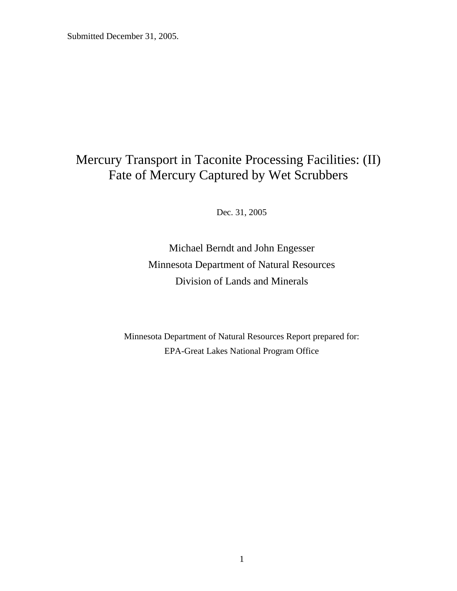# Mercury Transport in Taconite Processing Facilities: (II) Fate of Mercury Captured by Wet Scrubbers

Dec. 31, 2005

Michael Berndt and John Engesser Minnesota Department of Natural Resources Division of Lands and Minerals

Minnesota Department of Natural Resources Report prepared for: EPA-Great Lakes National Program Office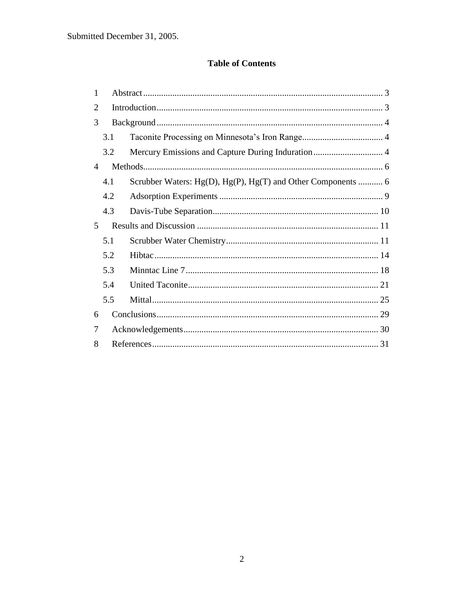#### **Table of Contents**

| 1              |     |                                                              |
|----------------|-----|--------------------------------------------------------------|
| 2              |     |                                                              |
| 3              |     |                                                              |
|                | 3.1 |                                                              |
|                | 3.2 |                                                              |
| 4              |     |                                                              |
|                | 4.1 | Scrubber Waters: Hg(D), Hg(P), Hg(T) and Other Components  6 |
|                | 4.2 |                                                              |
|                | 4.3 |                                                              |
|                |     |                                                              |
| $\overline{5}$ |     |                                                              |
|                | 5.1 |                                                              |
|                | 5.2 |                                                              |
|                | 5.3 |                                                              |
|                | 5.4 |                                                              |
|                | 5.5 |                                                              |
| 6              |     |                                                              |
| 7              |     |                                                              |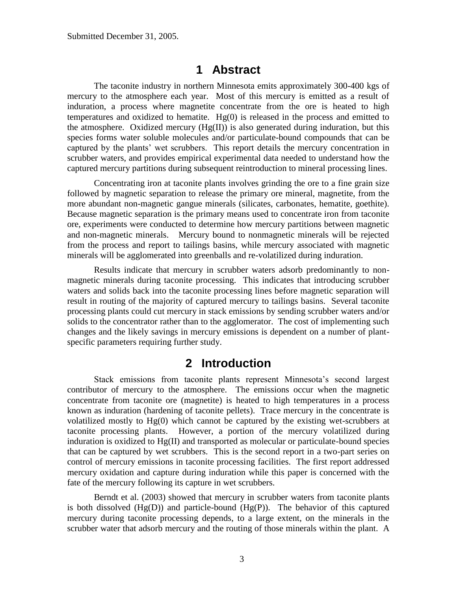### **1 Abstract**

<span id="page-2-0"></span>The taconite industry in northern Minnesota emits approximately 300-400 kgs of mercury to the atmosphere each year. Most of this mercury is emitted as a result of induration, a process where magnetite concentrate from the ore is heated to high temperatures and oxidized to hematite.  $Hg(0)$  is released in the process and emitted to the atmosphere. Oxidized mercury  $(Hg(II))$  is also generated during induration, but this species forms water soluble molecules and/or particulate-bound compounds that can be captured by the plants' wet scrubbers. This report details the mercury concentration in scrubber waters, and provides empirical experimental data needed to understand how the captured mercury partitions during subsequent reintroduction to mineral processing lines.

Concentrating iron at taconite plants involves grinding the ore to a fine grain size followed by magnetic separation to release the primary ore mineral, magnetite, from the more abundant non-magnetic gangue minerals (silicates, carbonates, hematite, goethite). Because magnetic separation is the primary means used to concentrate iron from taconite ore, experiments were conducted to determine how mercury partitions between magnetic and non-magnetic minerals. Mercury bound to nonmagnetic minerals will be rejected from the process and report to tailings basins, while mercury associated with magnetic minerals will be agglomerated into greenballs and re-volatilized during induration.

Results indicate that mercury in scrubber waters adsorb predominantly to nonmagnetic minerals during taconite processing. This indicates that introducing scrubber waters and solids back into the taconite processing lines before magnetic separation will result in routing of the majority of captured mercury to tailings basins. Several taconite processing plants could cut mercury in stack emissions by sending scrubber waters and/or solids to the concentrator rather than to the agglomerator. The cost of implementing such changes and the likely savings in mercury emissions is dependent on a number of plantspecific parameters requiring further study.

### **2 Introduction**

<span id="page-2-1"></span>Stack emissions from taconite plants represent Minnesota's second largest contributor of mercury to the atmosphere. The emissions occur when the magnetic concentrate from taconite ore (magnetite) is heated to high temperatures in a process known as induration (hardening of taconite pellets). Trace mercury in the concentrate is volatilized mostly to  $Hg(0)$  which cannot be captured by the existing wet-scrubbers at taconite processing plants. However, a portion of the mercury volatilized during induration is oxidized to Hg(II) and transported as molecular or particulate-bound species that can be captured by wet scrubbers. This is the second report in a two-part series on control of mercury emissions in taconite processing facilities. The first report addressed mercury oxidation and capture during induration while this paper is concerned with the fate of the mercury following its capture in wet scrubbers.

Berndt et al. (2003) showed that mercury in scrubber waters from taconite plants is both dissolved  $(Hg(D))$  and particle-bound  $(Hg(P))$ . The behavior of this captured mercury during taconite processing depends, to a large extent, on the minerals in the scrubber water that adsorb mercury and the routing of those minerals within the plant. A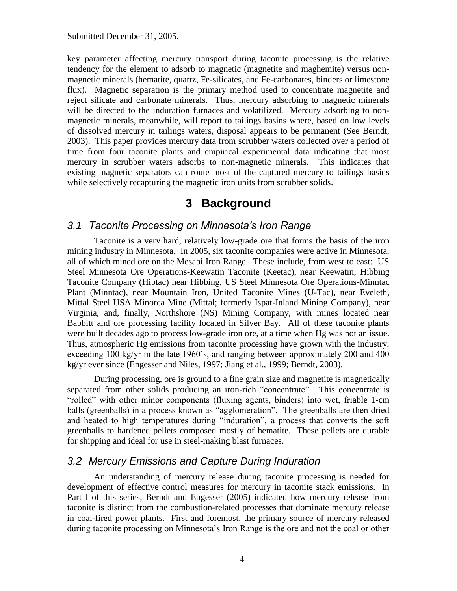key parameter affecting mercury transport during taconite processing is the relative tendency for the element to adsorb to magnetic (magnetite and maghemite) versus nonmagnetic minerals (hematite, quartz, Fe-silicates, and Fe-carbonates, binders or limestone flux). Magnetic separation is the primary method used to concentrate magnetite and reject silicate and carbonate minerals. Thus, mercury adsorbing to magnetic minerals will be directed to the induration furnaces and volatilized. Mercury adsorbing to nonmagnetic minerals, meanwhile, will report to tailings basins where, based on low levels of dissolved mercury in tailings waters, disposal appears to be permanent (See Berndt, 2003). This paper provides mercury data from scrubber waters collected over a period of time from four taconite plants and empirical experimental data indicating that most mercury in scrubber waters adsorbs to non-magnetic minerals. This indicates that existing magnetic separators can route most of the captured mercury to tailings basins while selectively recapturing the magnetic iron units from scrubber solids.

# **3 Background**

#### <span id="page-3-1"></span><span id="page-3-0"></span>*3.1 Taconite Processing on Minnesota's Iron Range*

Taconite is a very hard, relatively low-grade ore that forms the basis of the iron mining industry in Minnesota. In 2005, six taconite companies were active in Minnesota, all of which mined ore on the Mesabi Iron Range. These include, from west to east: US Steel Minnesota Ore Operations-Keewatin Taconite (Keetac), near Keewatin; Hibbing Taconite Company (Hibtac) near Hibbing, US Steel Minnesota Ore Operations-Minntac Plant (Minntac), near Mountain Iron, United Taconite Mines (U-Tac), near Eveleth, Mittal Steel USA Minorca Mine (Mittal; formerly Ispat-Inland Mining Company), near Virginia, and, finally, Northshore (NS) Mining Company, with mines located near Babbitt and ore processing facility located in Silver Bay. All of these taconite plants were built decades ago to process low-grade iron ore, at a time when Hg was not an issue. Thus, atmospheric Hg emissions from taconite processing have grown with the industry, exceeding 100 kg/yr in the late 1960's, and ranging between approximately 200 and 400 kg/yr ever since (Engesser and Niles, 1997; Jiang et al., 1999; Berndt, 2003).

During processing, ore is ground to a fine grain size and magnetite is magnetically separated from other solids producing an iron-rich "concentrate". This concentrate is "rolled" with other minor components (fluxing agents, binders) into wet, friable 1-cm balls (greenballs) in a process known as "agglomeration". The greenballs are then dried and heated to high temperatures during "induration", a process that converts the soft greenballs to hardened pellets composed mostly of hematite. These pellets are durable for shipping and ideal for use in steel-making blast furnaces.

### <span id="page-3-2"></span>*3.2 Mercury Emissions and Capture During Induration*

An understanding of mercury release during taconite processing is needed for development of effective control measures for mercury in taconite stack emissions. In Part I of this series, Berndt and Engesser (2005) indicated how mercury release from taconite is distinct from the combustion-related processes that dominate mercury release in coal-fired power plants. First and foremost, the primary source of mercury released during taconite processing on Minnesota's Iron Range is the ore and not the coal or other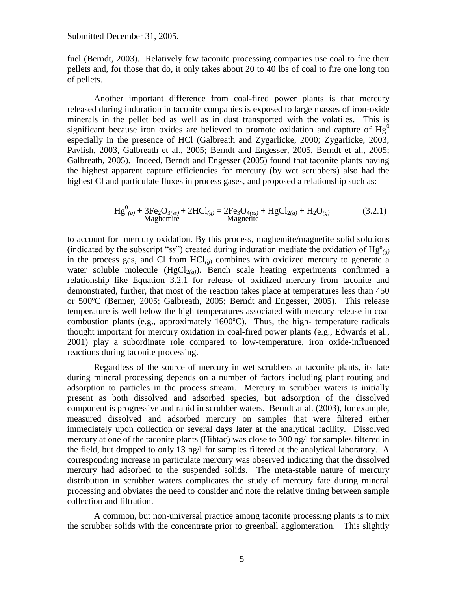fuel (Berndt, 2003). Relatively few taconite processing companies use coal to fire their pellets and, for those that do, it only takes about 20 to 40 lbs of coal to fire one long ton of pellets.

Another important difference from coal-fired power plants is that mercury released during induration in taconite companies is exposed to large masses of iron-oxide minerals in the pellet bed as well as in dust transported with the volatiles. This is significant because iron oxides are believed to promote oxidation and capture of  $Hg<sup>0</sup>$ especially in the presence of HCl (Galbreath and Zygarlicke, 2000; Zygarlicke, 2003; Pavlish, 2003, Galbreath et al., 2005; Berndt and Engesser, 2005, Berndt et al., 2005; Galbreath, 2005). Indeed, Berndt and Engesser (2005) found that taconite plants having the highest apparent capture efficiencies for mercury (by wet scrubbers) also had the highest Cl and particulate fluxes in process gases, and proposed a relationship such as:

$$
Hg^{0}_{(g)} + 3Fe_{2}O_{3(ss)} + 2HCl_{(g)} = 2Fe_{3}O_{4(ss)} + HgCl_{2(g)} + H_{2}O_{(g)}
$$
(3.2.1)  
Magnetic

to account for mercury oxidation. By this process, maghemite/magnetite solid solutions (indicated by the subscript "*ss*") created during induration mediate the oxidation of  $Hg^o_{(g)}$ in the process gas, and Cl from  $HCl_{(g)}$  combines with oxidized mercury to generate a water soluble molecule  $(HgCl_{2(g)})$ . Bench scale heating experiments confirmed a relationship like Equation 3.2.1 for release of oxidized mercury from taconite and demonstrated, further, that most of the reaction takes place at temperatures less than 450 or 500ºC (Benner, 2005; Galbreath, 2005; Berndt and Engesser, 2005). This release temperature is well below the high temperatures associated with mercury release in coal combustion plants (e.g., approximately  $1600^{\circ}$ C). Thus, the high-temperature radicals thought important for mercury oxidation in coal-fired power plants (e.g., Edwards et al., 2001) play a subordinate role compared to low-temperature, iron oxide-influenced reactions during taconite processing.

Regardless of the source of mercury in wet scrubbers at taconite plants, its fate during mineral processing depends on a number of factors including plant routing and adsorption to particles in the process stream. Mercury in scrubber waters is initially present as both dissolved and adsorbed species, but adsorption of the dissolved component is progressive and rapid in scrubber waters. Berndt at al. (2003), for example, measured dissolved and adsorbed mercury on samples that were filtered either immediately upon collection or several days later at the analytical facility. Dissolved mercury at one of the taconite plants (Hibtac) was close to 300 ng/l for samples filtered in the field, but dropped to only 13 ng/l for samples filtered at the analytical laboratory. A corresponding increase in particulate mercury was observed indicating that the dissolved mercury had adsorbed to the suspended solids. The meta-stable nature of mercury distribution in scrubber waters complicates the study of mercury fate during mineral processing and obviates the need to consider and note the relative timing between sample collection and filtration.

A common, but non-universal practice among taconite processing plants is to mix the scrubber solids with the concentrate prior to greenball agglomeration. This slightly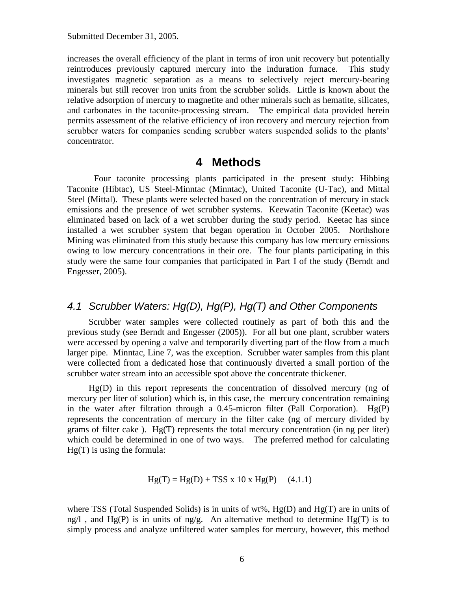increases the overall efficiency of the plant in terms of iron unit recovery but potentially reintroduces previously captured mercury into the induration furnace. This study investigates magnetic separation as a means to selectively reject mercury-bearing minerals but still recover iron units from the scrubber solids. Little is known about the relative adsorption of mercury to magnetite and other minerals such as hematite, silicates, and carbonates in the taconite-processing stream. The empirical data provided herein permits assessment of the relative efficiency of iron recovery and mercury rejection from scrubber waters for companies sending scrubber waters suspended solids to the plants' concentrator.

### **4 Methods**

<span id="page-5-0"></span>Four taconite processing plants participated in the present study: Hibbing Taconite (Hibtac), US Steel-Minntac (Minntac), United Taconite (U-Tac), and Mittal Steel (Mittal). These plants were selected based on the concentration of mercury in stack emissions and the presence of wet scrubber systems. Keewatin Taconite (Keetac) was eliminated based on lack of a wet scrubber during the study period. Keetac has since installed a wet scrubber system that began operation in October 2005. Northshore Mining was eliminated from this study because this company has low mercury emissions owing to low mercury concentrations in their ore. The four plants participating in this study were the same four companies that participated in Part I of the study (Berndt and Engesser, 2005).

#### <span id="page-5-1"></span>*4.1 Scrubber Waters: Hg(D), Hg(P), Hg(T) and Other Components*

Scrubber water samples were collected routinely as part of both this and the previous study (see Berndt and Engesser (2005)). For all but one plant, scrubber waters were accessed by opening a valve and temporarily diverting part of the flow from a much larger pipe. Minntac, Line 7, was the exception. Scrubber water samples from this plant were collected from a dedicated hose that continuously diverted a small portion of the scrubber water stream into an accessible spot above the concentrate thickener.

Hg(D) in this report represents the concentration of dissolved mercury (ng of mercury per liter of solution) which is, in this case, the mercury concentration remaining in the water after filtration through a 0.45-micron filter (Pall Corporation).  $Hg(P)$ represents the concentration of mercury in the filter cake (ng of mercury divided by grams of filter cake ). Hg(T) represents the total mercury concentration (in ng per liter) which could be determined in one of two ways. The preferred method for calculating  $Hg(T)$  is using the formula:

$$
Hg(T) = Hg(D) + TSS x 10 x Hg(P) \quad (4.1.1)
$$

where TSS (Total Suspended Solids) is in units of wt%, Hg(D) and Hg(T) are in units of ng/l, and  $Hg(P)$  is in units of ng/g. An alternative method to determine  $Hg(T)$  is to simply process and analyze unfiltered water samples for mercury, however, this method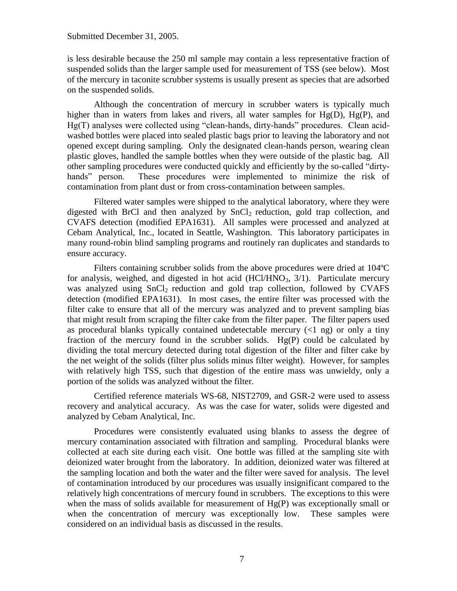is less desirable because the 250 ml sample may contain a less representative fraction of suspended solids than the larger sample used for measurement of TSS (see below). Most of the mercury in taconite scrubber systems is usually present as species that are adsorbed on the suspended solids.

Although the concentration of mercury in scrubber waters is typically much higher than in waters from lakes and rivers, all water samples for Hg(D), Hg(P), and Hg(T) analyses were collected using "clean-hands, dirty-hands" procedures. Clean acidwashed bottles were placed into sealed plastic bags prior to leaving the laboratory and not opened except during sampling. Only the designated clean-hands person, wearing clean plastic gloves, handled the sample bottles when they were outside of the plastic bag. All other sampling procedures were conducted quickly and efficiently by the so-called "dirtyhands" person. These procedures were implemented to minimize the risk of contamination from plant dust or from cross-contamination between samples.

Filtered water samples were shipped to the analytical laboratory, where they were digested with BrCl and then analyzed by SnCl<sub>2</sub> reduction, gold trap collection, and CVAFS detection (modified EPA1631). All samples were processed and analyzed at Cebam Analytical, Inc., located in Seattle, Washington. This laboratory participates in many round-robin blind sampling programs and routinely ran duplicates and standards to ensure accuracy.

Filters containing scrubber solids from the above procedures were dried at 104ºC for analysis, weighed, and digested in hot acid  $(HCl/HNO<sub>3</sub>, 3/1)$ . Particulate mercury was analyzed using  $SnCl<sub>2</sub>$  reduction and gold trap collection, followed by CVAFS detection (modified EPA1631). In most cases, the entire filter was processed with the filter cake to ensure that all of the mercury was analyzed and to prevent sampling bias that might result from scraping the filter cake from the filter paper. The filter papers used as procedural blanks typically contained undetectable mercury  $(\leq 1 \text{ ng})$  or only a tiny fraction of the mercury found in the scrubber solids.  $Hg(P)$  could be calculated by dividing the total mercury detected during total digestion of the filter and filter cake by the net weight of the solids (filter plus solids minus filter weight). However, for samples with relatively high TSS, such that digestion of the entire mass was unwieldy, only a portion of the solids was analyzed without the filter.

Certified reference materials WS-68, NIST2709, and GSR-2 were used to assess recovery and analytical accuracy. As was the case for water, solids were digested and analyzed by Cebam Analytical, Inc.

Procedures were consistently evaluated using blanks to assess the degree of mercury contamination associated with filtration and sampling. Procedural blanks were collected at each site during each visit. One bottle was filled at the sampling site with deionized water brought from the laboratory. In addition, deionized water was filtered at the sampling location and both the water and the filter were saved for analysis. The level of contamination introduced by our procedures was usually insignificant compared to the relatively high concentrations of mercury found in scrubbers. The exceptions to this were when the mass of solids available for measurement of  $Hg(P)$  was exceptionally small or when the concentration of mercury was exceptionally low. These samples were considered on an individual basis as discussed in the results.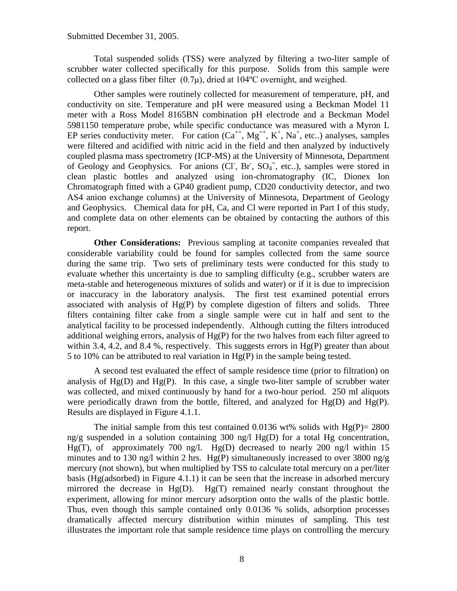Total suspended solids (TSS) were analyzed by filtering a two-liter sample of scrubber water collected specifically for this purpose. Solids from this sample were collected on a glass fiber filter  $(0.7\mu)$ , dried at 104°C overnight, and weighed.

Other samples were routinely collected for measurement of temperature, pH, and conductivity on site. Temperature and pH were measured using a Beckman Model 11 meter with a Ross Model 8165BN combination pH electrode and a Beckman Model 5981150 temperature probe, while specific conductance was measured with a Myron L EP series conductivity meter. For cation  $(Ca^{++}, Mg^{++}, K^+, Na^+, etc.)$  analyses, samples were filtered and acidified with nitric acid in the field and then analyzed by inductively coupled plasma mass spectrometry (ICP-MS) at the University of Minnesota, Department of Geology and Geophysics. For anions (CI, Br,  $SO_4$ <sup>=</sup>, etc..), samples were stored in clean plastic bottles and analyzed using ion-chromatography (IC, Dionex Ion Chromatograph fitted with a GP40 gradient pump, CD20 conductivity detector, and two AS4 anion exchange columns) at the University of Minnesota, Department of Geology and Geophysics. Chemical data for pH, Ca, and Cl were reported in Part I of this study, and complete data on other elements can be obtained by contacting the authors of this report.

**Other Considerations:** Previous sampling at taconite companies revealed that considerable variability could be found for samples collected from the same source during the same trip. Two sets of preliminary tests were conducted for this study to evaluate whether this uncertainty is due to sampling difficulty (e.g., scrubber waters are meta-stable and heterogeneous mixtures of solids and water) or if it is due to imprecision or inaccuracy in the laboratory analysis. The first test examined potential errors associated with analysis of  $Hg(P)$  by complete digestion of filters and solids. Three filters containing filter cake from a single sample were cut in half and sent to the analytical facility to be processed independently. Although cutting the filters introduced additional weighing errors, analysis of Hg(P) for the two halves from each filter agreed to within 3.4, 4.2, and 8.4 %, respectively. This suggests errors in  $Hg(P)$  greater than about 5 to 10% can be attributed to real variation in Hg(P) in the sample being tested.

A second test evaluated the effect of sample residence time (prior to filtration) on analysis of  $Hg(D)$  and  $Hg(P)$ . In this case, a single two-liter sample of scrubber water was collected, and mixed continuously by hand for a two-hour period. 250 ml aliquots were periodically drawn from the bottle, filtered, and analyzed for Hg(D) and Hg(P). Results are displayed in Figure 4.1.1.

The initial sample from this test contained 0.0136 wt% solids with  $Hg(P) = 2800$ ng/g suspended in a solution containing 300 ng/l  $Hg(D)$  for a total Hg concentration, Hg(T), of approximately 700 ng/l. Hg(D) decreased to nearly 200 ng/l within 15 minutes and to 130 ng/l within 2 hrs.  $Hg(P)$  simultaneously increased to over 3800 ng/g mercury (not shown), but when multiplied by TSS to calculate total mercury on a per/liter basis (Hg(adsorbed) in Figure 4.1.1) it can be seen that the increase in adsorbed mercury mirrored the decrease in Hg(D). Hg(T) remained nearly constant throughout the experiment, allowing for minor mercury adsorption onto the walls of the plastic bottle. Thus, even though this sample contained only 0.0136 % solids, adsorption processes dramatically affected mercury distribution within minutes of sampling. This test illustrates the important role that sample residence time plays on controlling the mercury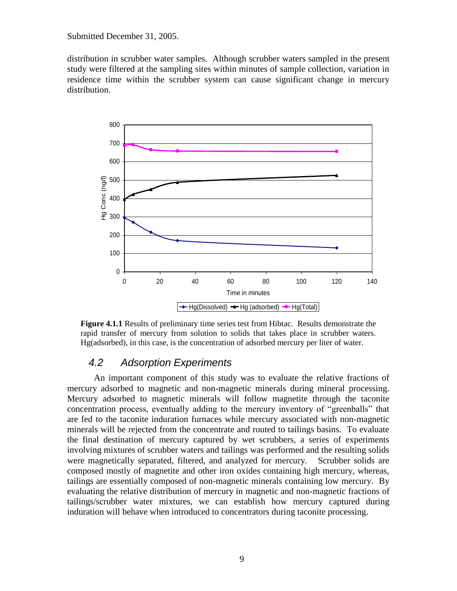distribution in scrubber water samples. Although scrubber waters sampled in the present study were filtered at the sampling sites within minutes of sample collection, variation in residence time within the scrubber system can cause significant change in mercury distribution.



**Figure 4.1.1** Results of preliminary time series test from Hibtac. Results demonstrate the rapid transfer of mercury from solution to solids that takes place in scrubber waters. Hg(adsorbed), in this case, is the concentration of adsorbed mercury per liter of water.

#### <span id="page-8-0"></span>*4.2 Adsorption Experiments*

An important component of this study was to evaluate the relative fractions of mercury adsorbed to magnetic and non-magnetic minerals during mineral processing. Mercury adsorbed to magnetic minerals will follow magnetite through the taconite concentration process, eventually adding to the mercury inventory of "greenballs" that are fed to the taconite induration furnaces while mercury associated with non-magnetic minerals will be rejected from the concentrate and routed to tailings basins. To evaluate the final destination of mercury captured by wet scrubbers, a series of experiments involving mixtures of scrubber waters and tailings was performed and the resulting solids were magnetically separated, filtered, and analyzed for mercury. Scrubber solids are composed mostly of magnetite and other iron oxides containing high mercury, whereas, tailings are essentially composed of non-magnetic minerals containing low mercury. By evaluating the relative distribution of mercury in magnetic and non-magnetic fractions of tailings/scrubber water mixtures, we can establish how mercury captured during induration will behave when introduced to concentrators during taconite processing.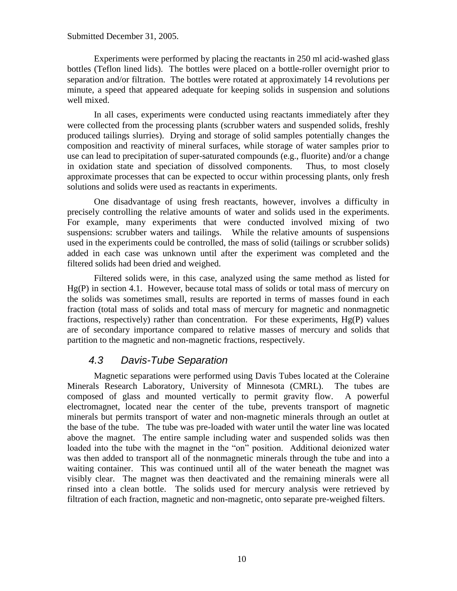Experiments were performed by placing the reactants in 250 ml acid-washed glass bottles (Teflon lined lids). The bottles were placed on a bottle-roller overnight prior to separation and/or filtration. The bottles were rotated at approximately 14 revolutions per minute, a speed that appeared adequate for keeping solids in suspension and solutions well mixed.

In all cases, experiments were conducted using reactants immediately after they were collected from the processing plants (scrubber waters and suspended solids, freshly produced tailings slurries). Drying and storage of solid samples potentially changes the composition and reactivity of mineral surfaces, while storage of water samples prior to use can lead to precipitation of super-saturated compounds (e.g., fluorite) and/or a change in oxidation state and speciation of dissolved components. Thus, to most closely approximate processes that can be expected to occur within processing plants, only fresh solutions and solids were used as reactants in experiments.

One disadvantage of using fresh reactants, however, involves a difficulty in precisely controlling the relative amounts of water and solids used in the experiments. For example, many experiments that were conducted involved mixing of two suspensions: scrubber waters and tailings. While the relative amounts of suspensions used in the experiments could be controlled, the mass of solid (tailings or scrubber solids) added in each case was unknown until after the experiment was completed and the filtered solids had been dried and weighed.

Filtered solids were, in this case, analyzed using the same method as listed for Hg(P) in section 4.1. However, because total mass of solids or total mass of mercury on the solids was sometimes small, results are reported in terms of masses found in each fraction (total mass of solids and total mass of mercury for magnetic and nonmagnetic fractions, respectively) rather than concentration. For these experiments, Hg(P) values are of secondary importance compared to relative masses of mercury and solids that partition to the magnetic and non-magnetic fractions, respectively.

### <span id="page-9-0"></span>*4.3 Davis-Tube Separation*

Magnetic separations were performed using Davis Tubes located at the Coleraine Minerals Research Laboratory, University of Minnesota (CMRL). The tubes are composed of glass and mounted vertically to permit gravity flow. A powerful electromagnet, located near the center of the tube, prevents transport of magnetic minerals but permits transport of water and non-magnetic minerals through an outlet at the base of the tube. The tube was pre-loaded with water until the water line was located above the magnet. The entire sample including water and suspended solids was then loaded into the tube with the magnet in the "on" position. Additional deionized water was then added to transport all of the nonmagnetic minerals through the tube and into a waiting container. This was continued until all of the water beneath the magnet was visibly clear. The magnet was then deactivated and the remaining minerals were all rinsed into a clean bottle. The solids used for mercury analysis were retrieved by filtration of each fraction, magnetic and non-magnetic, onto separate pre-weighed filters.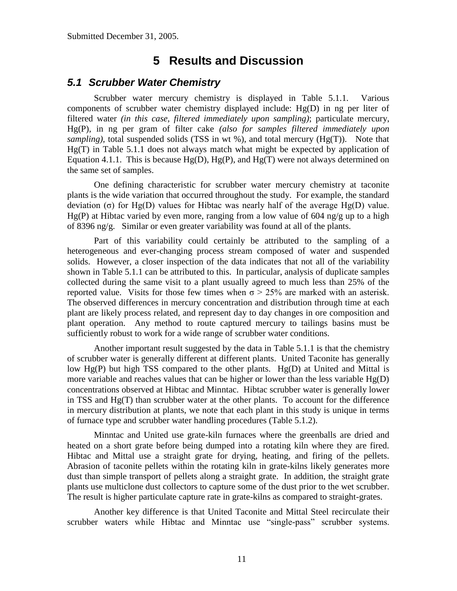# **5 Results and Discussion**

#### <span id="page-10-1"></span><span id="page-10-0"></span>*5.1 Scrubber Water Chemistry*

Scrubber water mercury chemistry is displayed in Table 5.1.1. Various components of scrubber water chemistry displayed include: Hg(D) in ng per liter of filtered water *(in this case, filtered immediately upon sampling)*; particulate mercury, Hg(P), in ng per gram of filter cake *(also for samples filtered immediately upon sampling*), total suspended solids (TSS in wt %), and total mercury (Hg(T)). Note that Hg(T) in Table 5.1.1 does not always match what might be expected by application of Equation 4.1.1. This is because  $Hg(D)$ ,  $Hg(P)$ , and  $Hg(T)$  were not always determined on the same set of samples.

One defining characteristic for scrubber water mercury chemistry at taconite plants is the wide variation that occurred throughout the study. For example, the standard deviation (σ) for Hg(D) values for Hibtac was nearly half of the average Hg(D) value.  $Hg(P)$  at Hibtac varied by even more, ranging from a low value of 604 ng/g up to a high of 8396 ng/g. Similar or even greater variability was found at all of the plants.

Part of this variability could certainly be attributed to the sampling of a heterogeneous and ever-changing process stream composed of water and suspended solids. However, a closer inspection of the data indicates that not all of the variability shown in Table 5.1.1 can be attributed to this. In particular, analysis of duplicate samples collected during the same visit to a plant usually agreed to much less than 25% of the reported value. Visits for those few times when  $\sigma$  > 25% are marked with an asterisk. The observed differences in mercury concentration and distribution through time at each plant are likely process related, and represent day to day changes in ore composition and plant operation. Any method to route captured mercury to tailings basins must be sufficiently robust to work for a wide range of scrubber water conditions.

Another important result suggested by the data in Table 5.1.1 is that the chemistry of scrubber water is generally different at different plants. United Taconite has generally low Hg(P) but high TSS compared to the other plants. Hg(D) at United and Mittal is more variable and reaches values that can be higher or lower than the less variable Hg(D) concentrations observed at Hibtac and Minntac. Hibtac scrubber water is generally lower in TSS and  $Hg(T)$  than scrubber water at the other plants. To account for the difference in mercury distribution at plants, we note that each plant in this study is unique in terms of furnace type and scrubber water handling procedures (Table 5.1.2).

Minntac and United use grate-kiln furnaces where the greenballs are dried and heated on a short grate before being dumped into a rotating kiln where they are fired. Hibtac and Mittal use a straight grate for drying, heating, and firing of the pellets. Abrasion of taconite pellets within the rotating kiln in grate-kilns likely generates more dust than simple transport of pellets along a straight grate. In addition, the straight grate plants use multiclone dust collectors to capture some of the dust prior to the wet scrubber. The result is higher particulate capture rate in grate-kilns as compared to straight-grates.

Another key difference is that United Taconite and Mittal Steel recirculate their scrubber waters while Hibtac and Minntac use "single-pass" scrubber systems.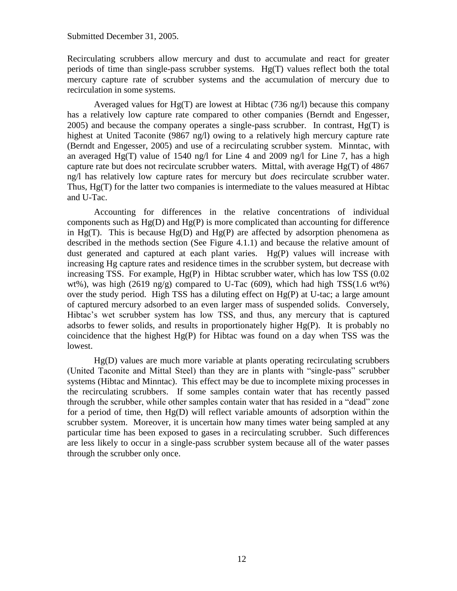Recirculating scrubbers allow mercury and dust to accumulate and react for greater periods of time than single-pass scrubber systems. Hg(T) values reflect both the total mercury capture rate of scrubber systems and the accumulation of mercury due to recirculation in some systems.

Averaged values for  $Hg(T)$  are lowest at Hibtac (736 ng/l) because this company has a relatively low capture rate compared to other companies (Berndt and Engesser,  $2005$ ) and because the company operates a single-pass scrubber. In contrast,  $Hg(T)$  is highest at United Taconite (9867 ng/l) owing to a relatively high mercury capture rate (Berndt and Engesser, 2005) and use of a recirculating scrubber system. Minntac, with an averaged Hg(T) value of 1540 ng/l for Line 4 and 2009 ng/l for Line 7, has a high capture rate but does not recirculate scrubber waters. Mittal, with average Hg(T) of 4867 ng/l has relatively low capture rates for mercury but *does* recirculate scrubber water. Thus, Hg(T) for the latter two companies is intermediate to the values measured at Hibtac and U-Tac.

Accounting for differences in the relative concentrations of individual components such as  $Hg(D)$  and  $Hg(P)$  is more complicated than accounting for difference in Hg(T). This is because Hg(D) and Hg(P) are affected by adsorption phenomena as described in the methods section (See Figure 4.1.1) and because the relative amount of dust generated and captured at each plant varies. Hg(P) values will increase with increasing Hg capture rates and residence times in the scrubber system, but decrease with increasing TSS. For example, Hg(P) in Hibtac scrubber water, which has low TSS (0.02 wt%), was high (2619 ng/g) compared to U-Tac (609), which had high  $TSS(1.6 \text{ wt%)}$ over the study period. High TSS has a diluting effect on Hg(P) at U-tac; a large amount of captured mercury adsorbed to an even larger mass of suspended solids. Conversely, Hibtac's wet scrubber system has low TSS, and thus, any mercury that is captured adsorbs to fewer solids, and results in proportionately higher Hg(P). It is probably no coincidence that the highest Hg(P) for Hibtac was found on a day when TSS was the lowest.

Hg(D) values are much more variable at plants operating recirculating scrubbers (United Taconite and Mittal Steel) than they are in plants with "single-pass" scrubber systems (Hibtac and Minntac). This effect may be due to incomplete mixing processes in the recirculating scrubbers. If some samples contain water that has recently passed through the scrubber, while other samples contain water that has resided in a "dead" zone for a period of time, then Hg(D) will reflect variable amounts of adsorption within the scrubber system. Moreover, it is uncertain how many times water being sampled at any particular time has been exposed to gases in a recirculating scrubber. Such differences are less likely to occur in a single-pass scrubber system because all of the water passes through the scrubber only once.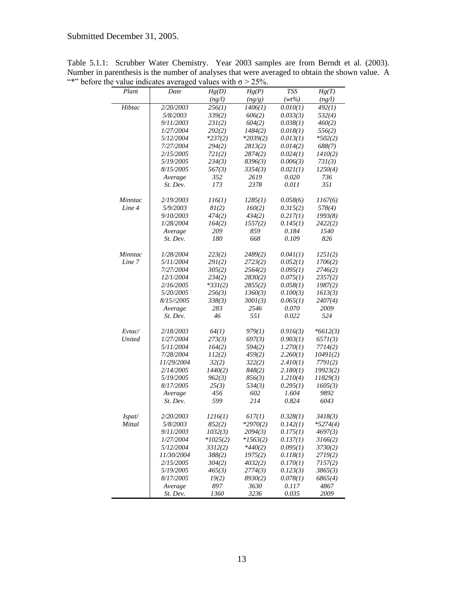| Plant         | Date             | Hg(D)      | Hg(P)      | <b>TSS</b> | Hg(T)      |
|---------------|------------------|------------|------------|------------|------------|
|               |                  | (ng/l)     | (ng/g)     | $(wt\%)$   | (ng/l)     |
| Hibtac        | 2/20/2003        | 256(1)     | 1406(1)    | 0.010(1)   | 492(1)     |
|               | 5/8/2003         | 339(2)     | 606(2)     | 0.033(3)   | 532(4)     |
|               | 9/11/2003        | 23I(2)     | 604(2)     | 0.038(1)   | 460(2)     |
|               | 1/27/2004        | 292(2)     | 1484(2)    | 0.018(1)   | 556(2)     |
|               | 5/12/2004        | $*237(2)$  | $*2039(2)$ | 0.013(1)   | $*502(2)$  |
|               | 7/27/2004        | 294(2)     | 2813(2)    | 0.014(2)   | 688(7)     |
|               | 2/15/2005        | 721(2)     | 2874(2)    | 0.024(1)   | 1410(2)    |
|               | 5/19/2005        | 234(3)     | 8396(3)    | 0.006(3)   | 731(3)     |
|               | 8/15/2005        | 567(3)     | 3354(3)    | 0.021(1)   | 1250(4)    |
|               | Average          | 352        | 2619       | 0.020      | 736        |
|               | St. Dev.         | 173        | 2378       | 0.011      | 351        |
| Minntac       | 2/19/2003        | 116(1)     | 1285(1)    | 0.058(6)   | 1167(6)    |
| Line 4        | 5/9/2003         | 8I(2)      | 160(2)     | 0.315(2)   | 578(4)     |
|               | 9/10/2003        | 474(2)     | 434(2)     | 0.217(1)   | 1993(8)    |
|               | 1/28/2004        | 164(2)     | 1557(2)    | 0.145(1)   | 2422(2)    |
|               | Average          | 209        | 859        | 0.184      | 1540       |
|               | St. Dev.         | 180        | 668        | 0.109      | 826        |
| Minntac       | 1/28/2004        | 223(2)     | 2489(2)    | 0.041(1)   | 125I(2)    |
| Line 7        | 5/11/2004        | 29I(2)     | 2723(2)    | 0.052(1)   | 1706(2)    |
|               | 7/27/2004        | 305(2)     | 2564(2)    | 0.095(1)   | 2746(2)    |
|               | 12/1/2004        | 234(2)     | 2830(2)    | 0.075(1)   | 2357(2)    |
|               | 2/16/2005        | $*331(2)$  | 2855(2)    | 0.058(1)   | 1987(2)    |
|               | 5/20/2005        | 256(3)     | 1360(3)    | 0.100(3)   | 1613(3)    |
|               | 8/15//2005       | 338(3)     | 300I(3)    | 0.065(1)   | 2407(4)    |
|               | Average          | 283        | 2546       | 0.070      | 2009       |
|               | St. Dev.         | 46         | 551        | 0.022      | 524        |
| Evtac/        | 2/18/2003        | 64(1)      | 979(1)     | 0.916(3)   | $*6612(3)$ |
| <b>United</b> | 1/27/2004        | 273(3)     | 697(3)     | 0.903(1)   | 657I(3)    |
|               | 5/11/2004        | 164(2)     | 594(2)     | 1.270(1)   | 7714(2)    |
|               | 7/28/2004        | 112(2)     | 459(2)     | 2.260(1)   | 10491(2)   |
|               | 11/29/2004       | 32(2)      | 322(2)     | 2.410(1)   | 7791(2)    |
|               | 2/14/2005        | 1440(2)    | 848(2)     | 2.180(1)   | 19923(2)   |
|               | 5/19/2005        | 962(3)     | 856(3)     | 1.210(4)   | 11829(3)   |
|               | 8/17/2005        | 25(3)      | 534(3)     | 0.295(1)   | 1605(3)    |
|               | Average          | 456        | 602        | 1.604      | 9892       |
|               | St. Dev.         | 599        | 214        | 0.824      | 6043       |
| Ispat/        | 2/20/2003        | 1216(1)    | 617(1)     | 0.328(1)   | 3418(3)    |
| Mittal        | 5/8/2003         | 852(2)     | $*2970(2)$ | 0.142(1)   | $*5274(4)$ |
|               | 9/11/2003        | 1032(3)    | 2094(3)    | 0.175(1)   | 4697(3)    |
|               | 1/27/2004        | $*1025(2)$ | $*1563(2)$ | 0.137(1)   | 3166(2)    |
|               | <i>5/12/2004</i> | 3312(2)    | $*440(2)$  | 0.095(1)   | 3730(2)    |
|               | 11/30/2004       | 388(2)     | 1975(2)    | 0.118(1)   | 2719(2)    |
|               | 2/15/2005        | 304(2)     | 4032(2)    | 0.170(1)   | 7157(2)    |
|               | 5/19/2005        | 465(3)     | 2774(3)    | 0.123(3)   | 3865(3)    |
|               | 8/17/2005        | 19(2)      | 8930(2)    | 0.078(1)   | 6865(4)    |
|               | Average          | 897        | 3630       | 0.117      | 4867       |
|               | St. Dev.         | 1360       | 3236       | 0.035      | 2009       |

Table 5.1.1: Scrubber Water Chemistry. Year 2003 samples are from Berndt et al. (2003). Number in parenthesis is the number of analyses that were averaged to obtain the shown value. A "\*" before the value indicates averaged values with  $\sigma > 25\%$ .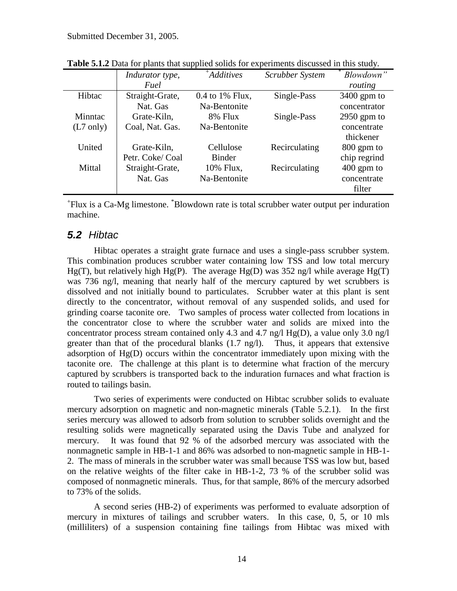|                     | Indurator type, | $+A$ dditives   | Scrubber System | Blowdown"     |
|---------------------|-----------------|-----------------|-----------------|---------------|
|                     | Fuel            |                 |                 | routing       |
| Hibtac              | Straight-Grate, | 0.4 to 1% Flux, | Single-Pass     | $3400$ gpm to |
|                     | Nat. Gas        | Na-Bentonite    |                 | concentrator  |
| Minntac             | Grate-Kiln,     | 8% Flux         | Single-Pass     | $2950$ gpm to |
| $(L7 \text{ only})$ | Coal, Nat. Gas. | Na-Bentonite    |                 | concentrate   |
|                     |                 |                 |                 | thickener     |
| United              | Grate-Kiln,     | Cellulose       | Recirculating   | 800 gpm to    |
|                     | Petr. Coke/Coal | <b>Binder</b>   |                 | chip regrind  |
| Mittal              | Straight-Grate, | 10% Flux,       | Recirculating   | $400$ gpm to  |
|                     | Nat. Gas        | Na-Bentonite    |                 | concentrate   |
|                     |                 |                 |                 | filter        |

**Table 5.1.2** Data for plants that supplied solids for experiments discussed in this study.

+ Flux is a Ca-Mg limestone. \*Blowdown rate is total scrubber water output per induration machine.

#### <span id="page-13-0"></span>*5.2 Hibtac*

Hibtac operates a straight grate furnace and uses a single-pass scrubber system. This combination produces scrubber water containing low TSS and low total mercury Hg(T), but relatively high Hg(P). The average Hg(D) was 352 ng/l while average Hg(T) was 736 ng/l, meaning that nearly half of the mercury captured by wet scrubbers is dissolved and not initially bound to particulates. Scrubber water at this plant is sent directly to the concentrator, without removal of any suspended solids, and used for grinding coarse taconite ore. Two samples of process water collected from locations in the concentrator close to where the scrubber water and solids are mixed into the concentrator process stream contained only 4.3 and 4.7 ng/l  $Hg(D)$ , a value only 3.0 ng/l greater than that of the procedural blanks (1.7 ng/l). Thus, it appears that extensive adsorption of Hg(D) occurs within the concentrator immediately upon mixing with the taconite ore. The challenge at this plant is to determine what fraction of the mercury captured by scrubbers is transported back to the induration furnaces and what fraction is routed to tailings basin.

Two series of experiments were conducted on Hibtac scrubber solids to evaluate mercury adsorption on magnetic and non-magnetic minerals (Table 5.2.1). In the first series mercury was allowed to adsorb from solution to scrubber solids overnight and the resulting solids were magnetically separated using the Davis Tube and analyzed for mercury. It was found that 92 % of the adsorbed mercury was associated with the nonmagnetic sample in HB-1-1 and 86% was adsorbed to non-magnetic sample in HB-1- 2. The mass of minerals in the scrubber water was small because TSS was low but, based on the relative weights of the filter cake in HB-1-2, 73 % of the scrubber solid was composed of nonmagnetic minerals. Thus, for that sample, 86% of the mercury adsorbed to 73% of the solids.

A second series (HB-2) of experiments was performed to evaluate adsorption of mercury in mixtures of tailings and scrubber waters. In this case, 0, 5, or 10 mls (milliliters) of a suspension containing fine tailings from Hibtac was mixed with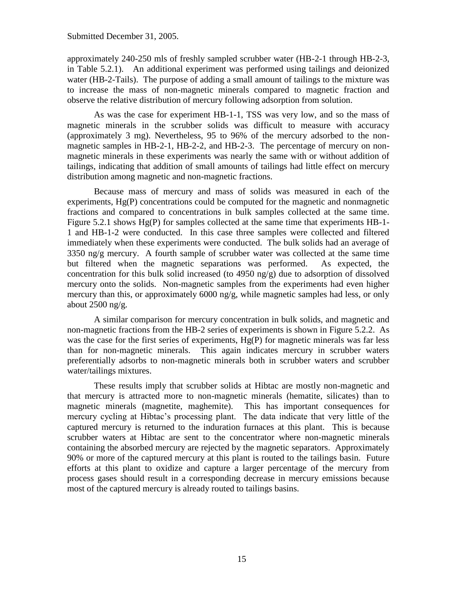approximately 240-250 mls of freshly sampled scrubber water (HB-2-1 through HB-2-3, in Table 5.2.1). An additional experiment was performed using tailings and deionized water (HB-2-Tails). The purpose of adding a small amount of tailings to the mixture was to increase the mass of non-magnetic minerals compared to magnetic fraction and observe the relative distribution of mercury following adsorption from solution.

As was the case for experiment HB-1-1, TSS was very low, and so the mass of magnetic minerals in the scrubber solids was difficult to measure with accuracy (approximately 3 mg). Nevertheless, 95 to 96% of the mercury adsorbed to the nonmagnetic samples in HB-2-1, HB-2-2, and HB-2-3. The percentage of mercury on nonmagnetic minerals in these experiments was nearly the same with or without addition of tailings, indicating that addition of small amounts of tailings had little effect on mercury distribution among magnetic and non-magnetic fractions.

Because mass of mercury and mass of solids was measured in each of the experiments, Hg(P) concentrations could be computed for the magnetic and nonmagnetic fractions and compared to concentrations in bulk samples collected at the same time. Figure 5.2.1 shows Hg(P) for samples collected at the same time that experiments HB-1- 1 and HB-1-2 were conducted. In this case three samples were collected and filtered immediately when these experiments were conducted. The bulk solids had an average of 3350 ng/g mercury. A fourth sample of scrubber water was collected at the same time but filtered when the magnetic separations was performed. As expected, the concentration for this bulk solid increased (to 4950 ng/g) due to adsorption of dissolved mercury onto the solids. Non-magnetic samples from the experiments had even higher mercury than this, or approximately 6000 ng/g, while magnetic samples had less, or only about 2500 ng/g.

A similar comparison for mercury concentration in bulk solids, and magnetic and non-magnetic fractions from the HB-2 series of experiments is shown in Figure 5.2.2. As was the case for the first series of experiments, Hg(P) for magnetic minerals was far less than for non-magnetic minerals. This again indicates mercury in scrubber waters preferentially adsorbs to non-magnetic minerals both in scrubber waters and scrubber water/tailings mixtures.

These results imply that scrubber solids at Hibtac are mostly non-magnetic and that mercury is attracted more to non-magnetic minerals (hematite, silicates) than to magnetic minerals (magnetite, maghemite). This has important consequences for mercury cycling at Hibtac's processing plant. The data indicate that very little of the captured mercury is returned to the induration furnaces at this plant. This is because scrubber waters at Hibtac are sent to the concentrator where non-magnetic minerals containing the absorbed mercury are rejected by the magnetic separators. Approximately 90% or more of the captured mercury at this plant is routed to the tailings basin. Future efforts at this plant to oxidize and capture a larger percentage of the mercury from process gases should result in a corresponding decrease in mercury emissions because most of the captured mercury is already routed to tailings basins.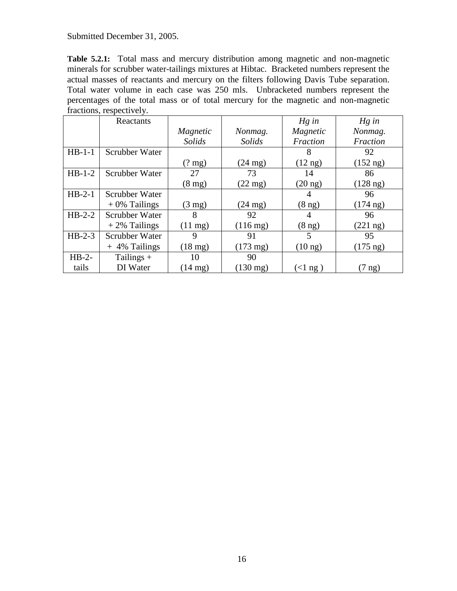**Table 5.2.1:** Total mass and mercury distribution among magnetic and non-magnetic minerals for scrubber water-tailings mixtures at Hibtac. Bracketed numbers represent the actual masses of reactants and mercury on the filters following Davis Tube separation. Total water volume in each case was 250 mls. Unbracketed numbers represent the percentages of the total mass or of total mercury for the magnetic and non-magnetic fractions, respectively.

|          | Reactants       |                   |                    | $Hg$ in           | $Hg$ in            |
|----------|-----------------|-------------------|--------------------|-------------------|--------------------|
|          |                 | Magnetic          | Nonmag.            | Magnetic          | Nonmag.            |
|          |                 | Solids            | Solids             | Fraction          | Fraction           |
| $HB-1-1$ | Scrubber Water  |                   |                    | 8                 | 92                 |
|          |                 | $(2 \text{ mg})$  | $(24 \text{ mg})$  | $(12 \text{ ng})$ | $(152 \text{ ng})$ |
| $HB-1-2$ | Scrubber Water  | 27                | 73                 | 14                | 86                 |
|          |                 | $(8 \text{ mg})$  | $(22 \text{ mg})$  | $(20 \text{ ng})$ | $(128 \text{ ng})$ |
| $HB-2-1$ | Scrubber Water  |                   |                    | 4                 | 96                 |
|          | $+0\%$ Tailings | $(3 \text{ mg})$  | $(24 \text{ mg})$  | $(8 \text{ ng})$  | $(174 \text{ ng})$ |
| $HB-2-2$ | Scrubber Water  | 8                 | 92                 | 4                 | 96                 |
|          | $+2\%$ Tailings | $(11 \text{ mg})$ | $(116 \text{ mg})$ | $(8 \text{ ng})$  | $(221 \text{ ng})$ |
| $HB-2-3$ | Scrubber Water  | 9                 | 91                 | 5                 | 95                 |
|          | $+4\%$ Tailings | $(18 \text{ mg})$ | $(173 \text{ mg})$ | $(10 \text{ ng})$ | $(175 \text{ ng})$ |
| $HB-2-$  | Tailings $+$    | 10                | 90                 |                   |                    |
| tails    | DI Water        | $(14 \text{ mg})$ | $(130 \text{ mg})$ | $(\langle$ 1 ng ) | $(7 \text{ ng})$   |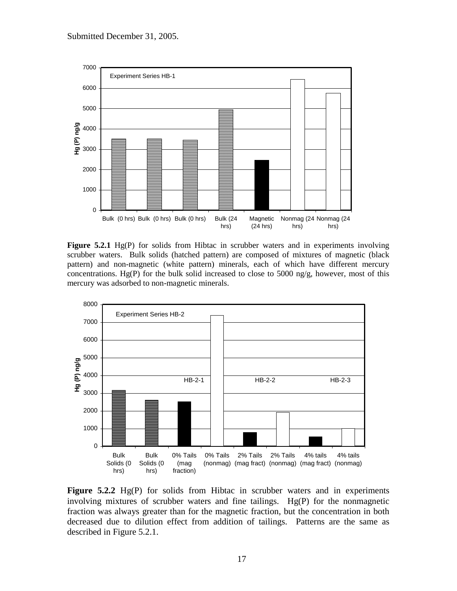

**Figure 5.2.1** Hg(P) for solids from Hibtac in scrubber waters and in experiments involving scrubber waters. Bulk solids (hatched pattern) are composed of mixtures of magnetic (black pattern) and non-magnetic (white pattern) minerals, each of which have different mercury concentrations. Hg(P) for the bulk solid increased to close to 5000 ng/g, however, most of this mercury was adsorbed to non-magnetic minerals.



**Figure 5.2.2** Hg(P) for solids from Hibtac in scrubber waters and in experiments involving mixtures of scrubber waters and fine tailings. Hg(P) for the nonmagnetic fraction was always greater than for the magnetic fraction, but the concentration in both decreased due to dilution effect from addition of tailings. Patterns are the same as described in Figure 5.2.1.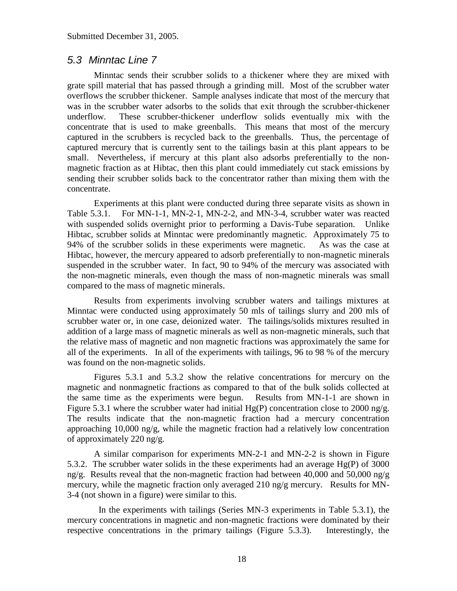#### <span id="page-17-0"></span>*5.3 Minntac Line 7*

Minntac sends their scrubber solids to a thickener where they are mixed with grate spill material that has passed through a grinding mill. Most of the scrubber water overflows the scrubber thickener. Sample analyses indicate that most of the mercury that was in the scrubber water adsorbs to the solids that exit through the scrubber-thickener underflow. These scrubber-thickener underflow solids eventually mix with the concentrate that is used to make greenballs. This means that most of the mercury captured in the scrubbers is recycled back to the greenballs. Thus, the percentage of captured mercury that is currently sent to the tailings basin at this plant appears to be small. Nevertheless, if mercury at this plant also adsorbs preferentially to the nonmagnetic fraction as at Hibtac, then this plant could immediately cut stack emissions by sending their scrubber solids back to the concentrator rather than mixing them with the concentrate.

Experiments at this plant were conducted during three separate visits as shown in Table 5.3.1. For MN-1-1, MN-2-1, MN-2-2, and MN-3-4, scrubber water was reacted with suspended solids overnight prior to performing a Davis-Tube separation. Unlike Hibtac, scrubber solids at Minntac were predominantly magnetic. Approximately 75 to 94% of the scrubber solids in these experiments were magnetic. As was the case at Hibtac, however, the mercury appeared to adsorb preferentially to non-magnetic minerals suspended in the scrubber water. In fact, 90 to 94% of the mercury was associated with the non-magnetic minerals, even though the mass of non-magnetic minerals was small compared to the mass of magnetic minerals.

Results from experiments involving scrubber waters and tailings mixtures at Minntac were conducted using approximately 50 mls of tailings slurry and 200 mls of scrubber water or, in one case, deionized water. The tailings/solids mixtures resulted in addition of a large mass of magnetic minerals as well as non-magnetic minerals, such that the relative mass of magnetic and non magnetic fractions was approximately the same for all of the experiments. In all of the experiments with tailings, 96 to 98 % of the mercury was found on the non-magnetic solids.

Figures 5.3.1 and 5.3.2 show the relative concentrations for mercury on the magnetic and nonmagnetic fractions as compared to that of the bulk solids collected at the same time as the experiments were begun. Results from MN-1-1 are shown in Figure 5.3.1 where the scrubber water had initial  $Hg(P)$  concentration close to 2000 ng/g. The results indicate that the non-magnetic fraction had a mercury concentration approaching 10,000 ng/g, while the magnetic fraction had a relatively low concentration of approximately 220 ng/g.

A similar comparison for experiments MN-2-1 and MN-2-2 is shown in Figure 5.3.2. The scrubber water solids in the these experiments had an average Hg(P) of 3000 ng/g. Results reveal that the non-magnetic fraction had between 40,000 and 50,000 ng/g mercury, while the magnetic fraction only averaged 210 ng/g mercury. Results for MN-3-4 (not shown in a figure) were similar to this.

 In the experiments with tailings (Series MN-3 experiments in Table 5.3.1), the mercury concentrations in magnetic and non-magnetic fractions were dominated by their respective concentrations in the primary tailings (Figure 5.3.3). Interestingly, the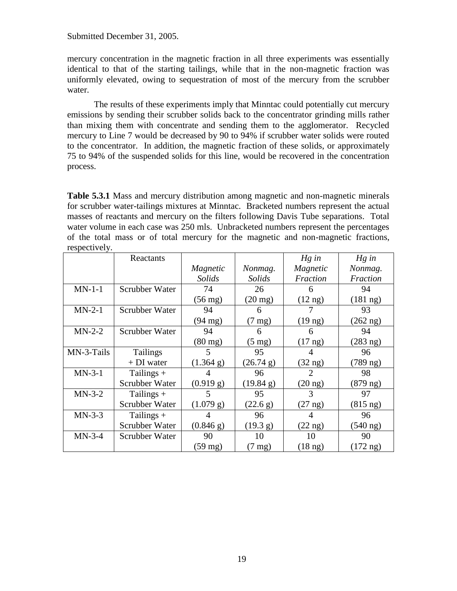mercury concentration in the magnetic fraction in all three experiments was essentially identical to that of the starting tailings, while that in the non-magnetic fraction was uniformly elevated, owing to sequestration of most of the mercury from the scrubber water.

The results of these experiments imply that Minntac could potentially cut mercury emissions by sending their scrubber solids back to the concentrator grinding mills rather than mixing them with concentrate and sending them to the agglomerator. Recycled mercury to Line 7 would be decreased by 90 to 94% if scrubber water solids were routed to the concentrator. In addition, the magnetic fraction of these solids, or approximately 75 to 94% of the suspended solids for this line, would be recovered in the concentration process.

**Table 5.3.1** Mass and mercury distribution among magnetic and non-magnetic minerals for scrubber water-tailings mixtures at Minntac. Bracketed numbers represent the actual masses of reactants and mercury on the filters following Davis Tube separations. Total water volume in each case was 250 mls. Unbracketed numbers represent the percentages of the total mass or of total mercury for the magnetic and non-magnetic fractions, respectively.

|            | Reactants             |                   |                   | $Hg$ in           | $Hg$ in            |
|------------|-----------------------|-------------------|-------------------|-------------------|--------------------|
|            |                       | Magnetic          | Nonmag.           | Magnetic          | Nonmag.            |
|            |                       | Solids            | Solids            | Fraction          | Fraction           |
| $MN-1-1$   | Scrubber Water        | 74                | 26                | 6                 | 94                 |
|            |                       | $(56 \text{ mg})$ | $(20 \text{ mg})$ | $(12 \text{ ng})$ | $(181 \text{ ng})$ |
| $MN-2-1$   | Scrubber Water        | 94                | 6                 |                   | 93                 |
|            |                       | $(94 \text{ mg})$ | $(7 \text{ mg})$  | $(19 \text{ ng})$ | $(262 \text{ ng})$ |
| $MN-2-2$   | <b>Scrubber Water</b> | 94                | 6                 | 6                 | 94                 |
|            |                       | $(80 \text{ mg})$ | $(5 \text{ mg})$  | $(17 \text{ ng})$ | $(283$ ng)         |
| MN-3-Tails | <b>Tailings</b>       | 5                 | 95                |                   | 96                 |
|            | $+DI$ water           | (1.364 g)         | (26.74 g)         | $(32 \text{ ng})$ | $(789 \text{ ng})$ |
| $MN-3-1$   | Tailings +            |                   | 96                | 2                 | 98                 |
|            | Scrubber Water        | (0.919 g)         | (19.84 g)         | $(20 \text{ ng})$ | $(879 \text{ ng})$ |
| $MN-3-2$   | Tailings +            | 5                 | 95                | 3                 | 97                 |
|            | Scrubber Water        | (1.079 g)         | (22.6 g)          | $(27 \text{ ng})$ | $(815 \text{ ng})$ |
| $MN-3-3$   | Tailings +            |                   | 96                | 4                 | 96                 |
|            | Scrubber Water        | (0.846 g)         | (19.3 g)          | $(22 \text{ ng})$ | $(540 \text{ ng})$ |
| $MN-3-4$   | Scrubber Water        | 90                | 10                | 10                | 90                 |
|            |                       | $(59 \text{ mg})$ | $(7 \text{ mg})$  | $(18 \text{ ng})$ | $(172 \text{ ng})$ |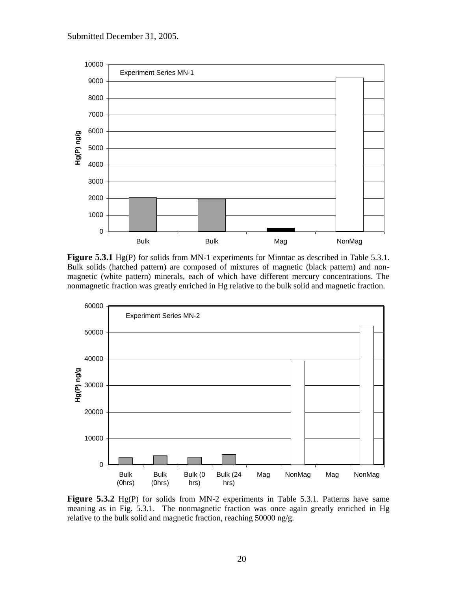

**Figure 5.3.1** Hg(P) for solids from MN-1 experiments for Minntac as described in Table 5.3.1. Bulk solids (hatched pattern) are composed of mixtures of magnetic (black pattern) and nonmagnetic (white pattern) minerals, each of which have different mercury concentrations. The nonmagnetic fraction was greatly enriched in Hg relative to the bulk solid and magnetic fraction.



Figure 5.3.2 Hg(P) for solids from MN-2 experiments in Table 5.3.1. Patterns have same meaning as in Fig. 5.3.1. The nonmagnetic fraction was once again greatly enriched in Hg relative to the bulk solid and magnetic fraction, reaching 50000 ng/g.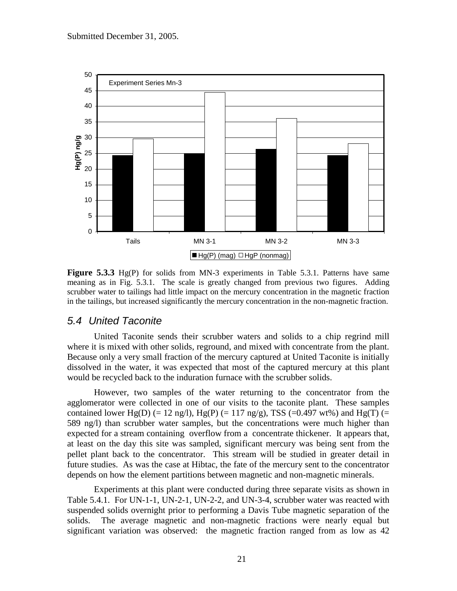

**Figure 5.3.3** Hg(P) for solids from MN-3 experiments in Table 5.3.1. Patterns have same meaning as in Fig. 5.3.1. The scale is greatly changed from previous two figures. Adding scrubber water to tailings had little impact on the mercury concentration in the magnetic fraction in the tailings, but increased significantly the mercury concentration in the non-magnetic fraction.

#### <span id="page-20-0"></span>*5.4 United Taconite*

United Taconite sends their scrubber waters and solids to a chip regrind mill where it is mixed with other solids, reground, and mixed with concentrate from the plant. Because only a very small fraction of the mercury captured at United Taconite is initially dissolved in the water, it was expected that most of the captured mercury at this plant would be recycled back to the induration furnace with the scrubber solids.

However, two samples of the water returning to the concentrator from the agglomerator were collected in one of our visits to the taconite plant. These samples contained lower Hg(D) (= 12 ng/l), Hg(P) (= 117 ng/g), TSS (=0.497 wt%) and Hg(T) (= 589 ng/l) than scrubber water samples, but the concentrations were much higher than expected for a stream containing overflow from a concentrate thickener. It appears that, at least on the day this site was sampled, significant mercury was being sent from the pellet plant back to the concentrator. This stream will be studied in greater detail in future studies. As was the case at Hibtac, the fate of the mercury sent to the concentrator depends on how the element partitions between magnetic and non-magnetic minerals.

Experiments at this plant were conducted during three separate visits as shown in Table 5.4.1. For UN-1-1, UN-2-1, UN-2-2, and UN-3-4, scrubber water was reacted with suspended solids overnight prior to performing a Davis Tube magnetic separation of the solids. The average magnetic and non-magnetic fractions were nearly equal but significant variation was observed: the magnetic fraction ranged from as low as 42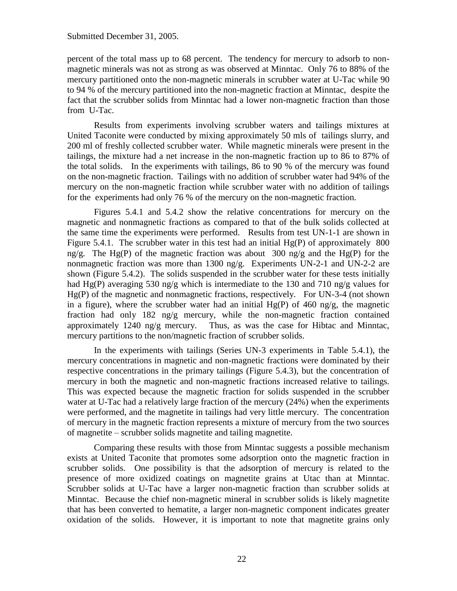percent of the total mass up to 68 percent. The tendency for mercury to adsorb to nonmagnetic minerals was not as strong as was observed at Minntac. Only 76 to 88% of the mercury partitioned onto the non-magnetic minerals in scrubber water at U-Tac while 90 to 94 % of the mercury partitioned into the non-magnetic fraction at Minntac, despite the fact that the scrubber solids from Minntac had a lower non-magnetic fraction than those from U-Tac.

Results from experiments involving scrubber waters and tailings mixtures at United Taconite were conducted by mixing approximately 50 mls of tailings slurry, and 200 ml of freshly collected scrubber water. While magnetic minerals were present in the tailings, the mixture had a net increase in the non-magnetic fraction up to 86 to 87% of the total solids. In the experiments with tailings, 86 to 90 % of the mercury was found on the non-magnetic fraction. Tailings with no addition of scrubber water had 94% of the mercury on the non-magnetic fraction while scrubber water with no addition of tailings for the experiments had only 76 % of the mercury on the non-magnetic fraction.

Figures 5.4.1 and 5.4.2 show the relative concentrations for mercury on the magnetic and nonmagnetic fractions as compared to that of the bulk solids collected at the same time the experiments were performed. Results from test UN-1-1 are shown in Figure 5.4.1. The scrubber water in this test had an initial  $Hg(P)$  of approximately 800 ng/g. The Hg(P) of the magnetic fraction was about 300 ng/g and the Hg(P) for the nonmagnetic fraction was more than 1300 ng/g. Experiments UN-2-1 and UN-2-2 are shown (Figure 5.4.2). The solids suspended in the scrubber water for these tests initially had Hg(P) averaging 530 ng/g which is intermediate to the 130 and 710 ng/g values for Hg(P) of the magnetic and nonmagnetic fractions, respectively. For UN-3-4 (not shown in a figure), where the scrubber water had an initial  $Hg(P)$  of 460 ng/g, the magnetic fraction had only 182 ng/g mercury, while the non-magnetic fraction contained approximately 1240 ng/g mercury. Thus, as was the case for Hibtac and Minntac, mercury partitions to the non/magnetic fraction of scrubber solids.

In the experiments with tailings (Series UN-3 experiments in Table 5.4.1), the mercury concentrations in magnetic and non-magnetic fractions were dominated by their respective concentrations in the primary tailings (Figure 5.4.3), but the concentration of mercury in both the magnetic and non-magnetic fractions increased relative to tailings. This was expected because the magnetic fraction for solids suspended in the scrubber water at U-Tac had a relatively large fraction of the mercury (24%) when the experiments were performed, and the magnetite in tailings had very little mercury. The concentration of mercury in the magnetic fraction represents a mixture of mercury from the two sources of magnetite – scrubber solids magnetite and tailing magnetite.

Comparing these results with those from Minntac suggests a possible mechanism exists at United Taconite that promotes some adsorption onto the magnetic fraction in scrubber solids. One possibility is that the adsorption of mercury is related to the presence of more oxidized coatings on magnetite grains at Utac than at Minntac. Scrubber solids at U-Tac have a larger non-magnetic fraction than scrubber solids at Minntac. Because the chief non-magnetic mineral in scrubber solids is likely magnetite that has been converted to hematite, a larger non-magnetic component indicates greater oxidation of the solids. However, it is important to note that magnetite grains only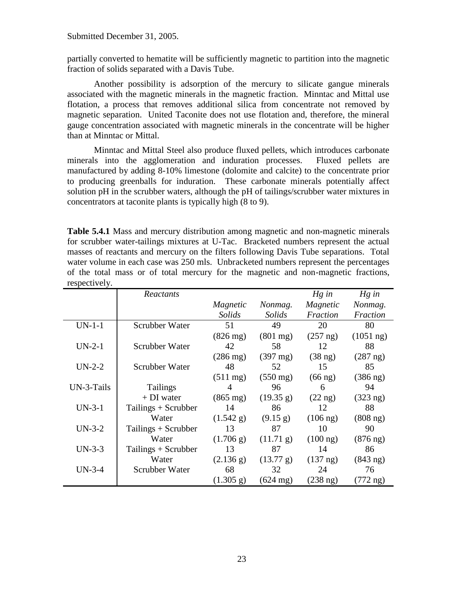partially converted to hematite will be sufficiently magnetic to partition into the magnetic fraction of solids separated with a Davis Tube.

Another possibility is adsorption of the mercury to silicate gangue minerals associated with the magnetic minerals in the magnetic fraction. Minntac and Mittal use flotation, a process that removes additional silica from concentrate not removed by magnetic separation. United Taconite does not use flotation and, therefore, the mineral gauge concentration associated with magnetic minerals in the concentrate will be higher than at Minntac or Mittal.

Minntac and Mittal Steel also produce fluxed pellets, which introduces carbonate minerals into the agglomeration and induration processes. Fluxed pellets are manufactured by adding 8-10% limestone (dolomite and calcite) to the concentrate prior to producing greenballs for induration. These carbonate minerals potentially affect solution pH in the scrubber waters, although the pH of tailings/scrubber water mixtures in concentrators at taconite plants is typically high (8 to 9).

**Table 5.4.1** Mass and mercury distribution among magnetic and non-magnetic minerals for scrubber water-tailings mixtures at U-Tac. Bracketed numbers represent the actual masses of reactants and mercury on the filters following Davis Tube separations. Total water volume in each case was 250 mls. Unbracketed numbers represent the percentages of the total mass or of total mercury for the magnetic and non-magnetic fractions, respectively.

|            | Reactants             |                       |                    | $Hg$ in            | $Hg$ in             |
|------------|-----------------------|-----------------------|--------------------|--------------------|---------------------|
|            |                       | Magnetic              | Nonmag.            | Magnetic           | Nonmag.             |
|            |                       | Solids                | Solids             | Fraction           | Fraction            |
| $UN-1-1$   | Scrubber Water        | 51                    | 49                 | 20                 | 80                  |
|            |                       | $(826 \text{ mg})$    | $(801 \text{ mg})$ | $(257 \text{ ng})$ | $(1051 \text{ ng})$ |
| $UN-2-1$   | Scrubber Water        | 42                    | 58                 | 12                 | 88                  |
|            |                       | $(286 \,\mathrm{mg})$ | $(397 \text{ mg})$ | $(38 \text{ ng})$  | $(287 \text{ ng})$  |
| $UN-2-2$   | Scrubber Water        | 48                    | 52                 | 15                 | 85                  |
|            |                       | $(511 \text{ mg})$    | $(550 \text{ mg})$ | $(66 \text{ ng})$  | $(386 \text{ ng})$  |
| UN-3-Tails | <b>Tailings</b>       | $\overline{4}$        | 96                 | 6                  | 94                  |
|            | + DI water            | $(865 \text{ mg})$    | (19.35 g)          | $(22 \text{ ng})$  | $(323 \text{ ng})$  |
| $UN-3-1$   | Tailings $+$ Scrubber | 14                    | 86                 | 12                 | 88                  |
|            | Water                 | (1.542 g)             | $(9.15 \text{ g})$ | $(106 \text{ ng})$ | $(808 \text{ ng})$  |
| $UN-3-2$   | Tailings $+$ Scrubber | 13                    | 87                 | 10                 | 90                  |
|            | Water                 | (1.706 g)             | (11.71 g)          | $(100 \text{ ng})$ | $(876 \text{ ng})$  |
| $UN-3-3$   | Tailings $+$ Scrubber | 13                    | 87                 | 14                 | 86                  |
|            | Water                 | (2.136 g)             | (13.77 g)          | $(137 \text{ ng})$ | $(843 \text{ ng})$  |
| $UN-3-4$   | Scrubber Water        | 68                    | 32                 | 24                 | 76                  |
|            |                       | (1.305 g)             | $(624 \text{ mg})$ | $(238 \text{ ng})$ | $(772 \text{ ng})$  |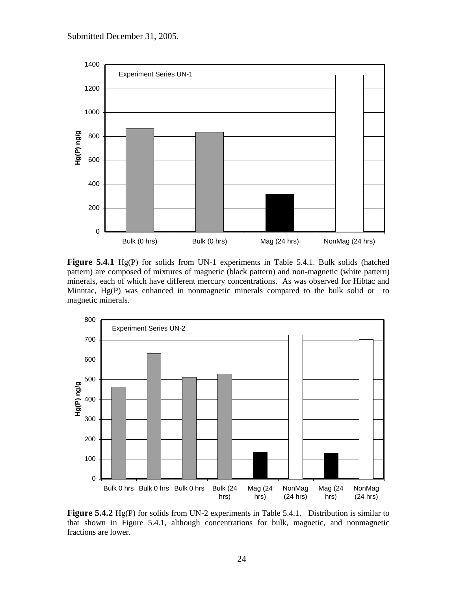

**Figure 5.4.1** Hg(P) for solids from UN-1 experiments in Table 5.4.1. Bulk solids (hatched pattern) are composed of mixtures of magnetic (black pattern) and non-magnetic (white pattern) minerals, each of which have different mercury concentrations. As was observed for Hibtac and Minntac, Hg(P) was enhanced in nonmagnetic minerals compared to the bulk solid or to magnetic minerals.



**Figure 5.4.2** Hg(P) for solids from UN-2 experiments in Table 5.4.1. Distribution is similar to that shown in Figure 5.4.1, although concentrations for bulk, magnetic, and nonmagnetic fractions are lower.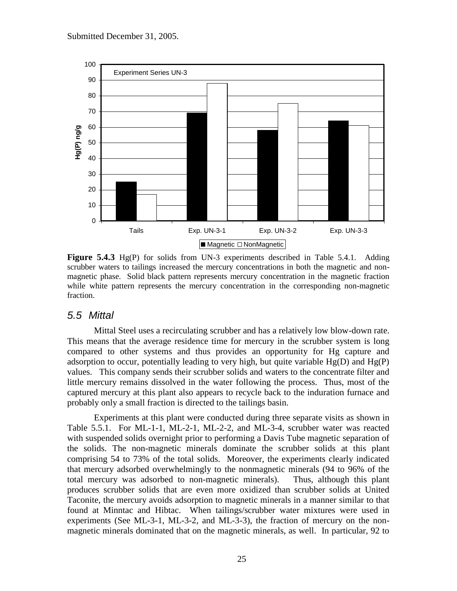

**Figure 5.4.3** Hg(P) for solids from UN-3 experiments described in Table 5.4.1. Adding scrubber waters to tailings increased the mercury concentrations in both the magnetic and nonmagnetic phase. Solid black pattern represents mercury concentration in the magnetic fraction while white pattern represents the mercury concentration in the corresponding non-magnetic fraction.

#### <span id="page-24-0"></span>*5.5 Mittal*

Mittal Steel uses a recirculating scrubber and has a relatively low blow-down rate. This means that the average residence time for mercury in the scrubber system is long compared to other systems and thus provides an opportunity for Hg capture and adsorption to occur, potentially leading to very high, but quite variable  $Hg(D)$  and  $Hg(P)$ values. This company sends their scrubber solids and waters to the concentrate filter and little mercury remains dissolved in the water following the process. Thus, most of the captured mercury at this plant also appears to recycle back to the induration furnace and probably only a small fraction is directed to the tailings basin.

Experiments at this plant were conducted during three separate visits as shown in Table 5.5.1. For ML-1-1, ML-2-1, ML-2-2, and ML-3-4, scrubber water was reacted with suspended solids overnight prior to performing a Davis Tube magnetic separation of the solids. The non-magnetic minerals dominate the scrubber solids at this plant comprising 54 to 73% of the total solids. Moreover, the experiments clearly indicated that mercury adsorbed overwhelmingly to the nonmagnetic minerals (94 to 96% of the total mercury was adsorbed to non-magnetic minerals). Thus, although this plant produces scrubber solids that are even more oxidized than scrubber solids at United Taconite, the mercury avoids adsorption to magnetic minerals in a manner similar to that found at Minntac and Hibtac. When tailings/scrubber water mixtures were used in experiments (See ML-3-1, ML-3-2, and ML-3-3), the fraction of mercury on the nonmagnetic minerals dominated that on the magnetic minerals, as well. In particular, 92 to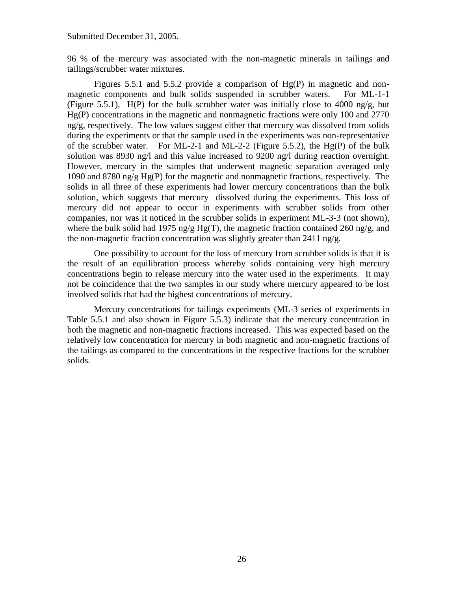96 % of the mercury was associated with the non-magnetic minerals in tailings and tailings/scrubber water mixtures.

Figures 5.5.1 and 5.5.2 provide a comparison of Hg(P) in magnetic and nonmagnetic components and bulk solids suspended in scrubber waters. For ML-1-1 (Figure 5.5.1),  $H(P)$  for the bulk scrubber water was initially close to 4000 ng/g, but Hg(P) concentrations in the magnetic and nonmagnetic fractions were only 100 and 2770 ng/g, respectively. The low values suggest either that mercury was dissolved from solids during the experiments or that the sample used in the experiments was non-representative of the scrubber water. For ML-2-1 and ML-2-2 (Figure 5.5.2), the  $Hg(P)$  of the bulk solution was 8930 ng/l and this value increased to 9200 ng/l during reaction overnight. However, mercury in the samples that underwent magnetic separation averaged only 1090 and 8780 ng/g Hg(P) for the magnetic and nonmagnetic fractions, respectively. The solids in all three of these experiments had lower mercury concentrations than the bulk solution, which suggests that mercury dissolved during the experiments. This loss of mercury did not appear to occur in experiments with scrubber solids from other companies, nor was it noticed in the scrubber solids in experiment ML-3-3 (not shown), where the bulk solid had 1975 ng/g Hg(T), the magnetic fraction contained 260 ng/g, and the non-magnetic fraction concentration was slightly greater than  $2411$  ng/g.

One possibility to account for the loss of mercury from scrubber solids is that it is the result of an equilibration process whereby solids containing very high mercury concentrations begin to release mercury into the water used in the experiments. It may not be coincidence that the two samples in our study where mercury appeared to be lost involved solids that had the highest concentrations of mercury.

Mercury concentrations for tailings experiments (ML-3 series of experiments in Table 5.5.1 and also shown in Figure 5.5.3) indicate that the mercury concentration in both the magnetic and non-magnetic fractions increased. This was expected based on the relatively low concentration for mercury in both magnetic and non-magnetic fractions of the tailings as compared to the concentrations in the respective fractions for the scrubber solids.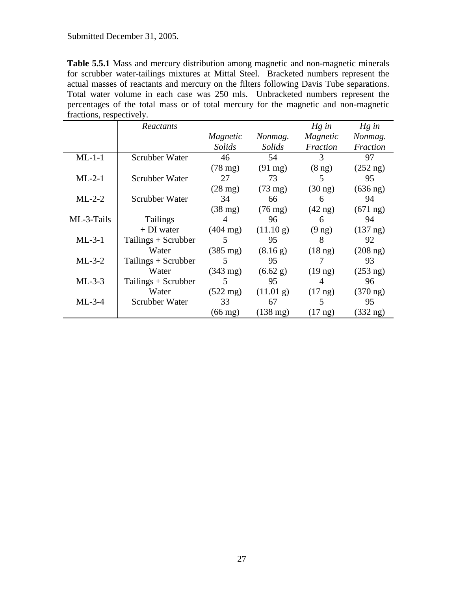**Table 5.5.1** Mass and mercury distribution among magnetic and non-magnetic minerals for scrubber water-tailings mixtures at Mittal Steel. Bracketed numbers represent the actual masses of reactants and mercury on the filters following Davis Tube separations. Total water volume in each case was 250 mls. Unbracketed numbers represent the percentages of the total mass or of total mercury for the magnetic and non-magnetic fractions, respectively.

|            | Reactants             |                    |                    | $Hg$ in           | $Hg$ in            |
|------------|-----------------------|--------------------|--------------------|-------------------|--------------------|
|            |                       | Magnetic           | Nonmag.            | Magnetic          | Nonmag.            |
|            |                       | Solids             | Solids             | Fraction          | Fraction           |
| $ML-1-1$   | Scrubber Water        | 46                 | 54                 | 3                 | 97                 |
|            |                       | $(78 \text{ mg})$  | $(91 \text{ mg})$  | $(8 \text{ ng})$  | $(252 \text{ ng})$ |
| $ML-2-1$   | Scrubber Water        | 27                 | 73                 | 5                 | 95                 |
|            |                       | $(28 \text{ mg})$  | $(73 \text{ mg})$  | $(30 \text{ ng})$ | $(636 \text{ ng})$ |
| $ML-2-2$   | Scrubber Water        | 34                 | 66                 | 6                 | 94                 |
|            |                       | $(38 \text{ mg})$  | $(76 \text{ mg})$  | $(42 \text{ ng})$ | $(671 \text{ ng})$ |
| ML-3-Tails | Tailings              | 4                  | 96                 | 6                 | 94                 |
|            | $+DI$ water           | $(404 \text{ mg})$ | (11.10 g)          | $(9 \text{ ng})$  | $(137 \text{ ng})$ |
| $ML-3-1$   | Tailings $+$ Scrubber | 5                  | 95                 | 8                 | 92                 |
|            | Water                 | $(385 \text{ mg})$ | (8.16 g)           | $(18 \text{ ng})$ | $(208 \text{ ng})$ |
| $ML-3-2$   | Tailings + Scrubber   | 5                  | 95                 |                   | 93                 |
|            | Water                 | $(343 \text{ mg})$ | (6.62 g)           | $(19 \text{ ng})$ | $(253 \text{ ng})$ |
| $ML-3-3$   | Tailings + Scrubber   | 5                  | 95                 | 4                 | 96                 |
|            | Water                 | $(522 \text{ mg})$ | (11.01 g)          | $(17 \text{ ng})$ | $(370 \text{ ng})$ |
| $ML-3-4$   | Scrubber Water        | 33                 | 67                 | 5.                | 95                 |
|            |                       | $(66 \text{ mg})$  | $(138 \text{ mg})$ | $(17 \text{ ng})$ | $(332 \text{ ng})$ |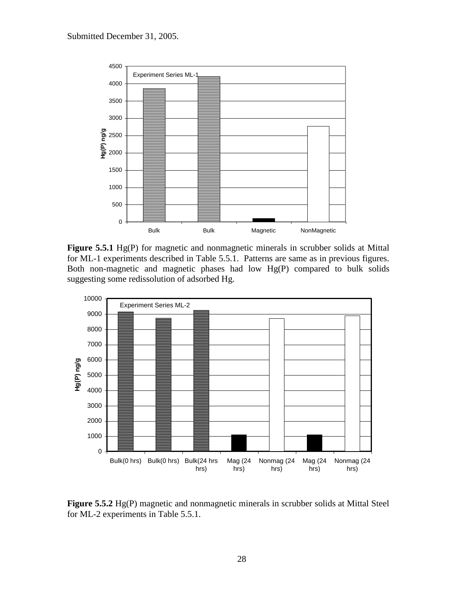

**Figure 5.5.1** Hg(P) for magnetic and nonmagnetic minerals in scrubber solids at Mittal for ML-1 experiments described in Table 5.5.1. Patterns are same as in previous figures. Both non-magnetic and magnetic phases had low Hg(P) compared to bulk solids suggesting some redissolution of adsorbed Hg.



**Figure 5.5.2** Hg(P) magnetic and nonmagnetic minerals in scrubber solids at Mittal Steel for ML-2 experiments in Table 5.5.1.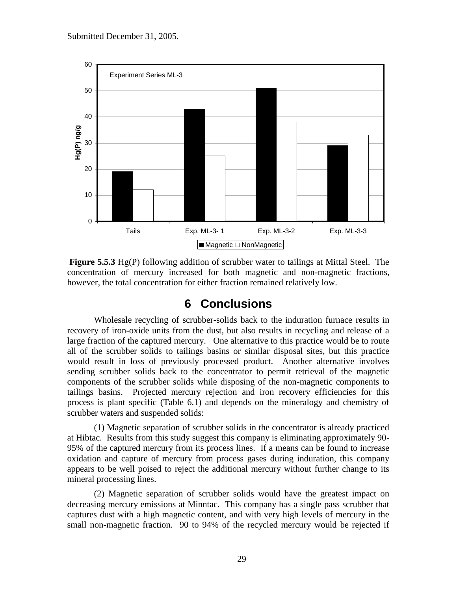

**Figure 5.5.3** Hg(P) following addition of scrubber water to tailings at Mittal Steel. The concentration of mercury increased for both magnetic and non-magnetic fractions, however, the total concentration for either fraction remained relatively low.

# **6 Conclusions**

<span id="page-28-0"></span>Wholesale recycling of scrubber-solids back to the induration furnace results in recovery of iron-oxide units from the dust, but also results in recycling and release of a large fraction of the captured mercury. One alternative to this practice would be to route all of the scrubber solids to tailings basins or similar disposal sites, but this practice would result in loss of previously processed product. Another alternative involves sending scrubber solids back to the concentrator to permit retrieval of the magnetic components of the scrubber solids while disposing of the non-magnetic components to tailings basins. Projected mercury rejection and iron recovery efficiencies for this process is plant specific (Table 6.1) and depends on the mineralogy and chemistry of scrubber waters and suspended solids:

(1) Magnetic separation of scrubber solids in the concentrator is already practiced at Hibtac. Results from this study suggest this company is eliminating approximately 90- 95% of the captured mercury from its process lines. If a means can be found to increase oxidation and capture of mercury from process gases during induration, this company appears to be well poised to reject the additional mercury without further change to its mineral processing lines.

(2) Magnetic separation of scrubber solids would have the greatest impact on decreasing mercury emissions at Minntac. This company has a single pass scrubber that captures dust with a high magnetic content, and with very high levels of mercury in the small non-magnetic fraction. 90 to 94% of the recycled mercury would be rejected if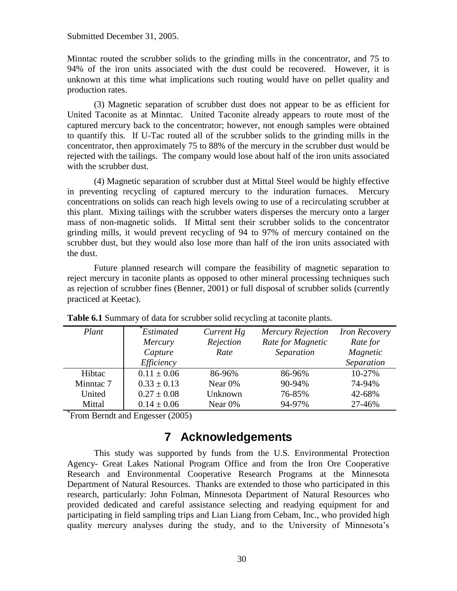Minntac routed the scrubber solids to the grinding mills in the concentrator, and 75 to 94% of the iron units associated with the dust could be recovered. However, it is unknown at this time what implications such routing would have on pellet quality and production rates.

(3) Magnetic separation of scrubber dust does not appear to be as efficient for United Taconite as at Minntac. United Taconite already appears to route most of the captured mercury back to the concentrator; however, not enough samples were obtained to quantify this. If U-Tac routed all of the scrubber solids to the grinding mills in the concentrator, then approximately 75 to 88% of the mercury in the scrubber dust would be rejected with the tailings. The company would lose about half of the iron units associated with the scrubber dust.

(4) Magnetic separation of scrubber dust at Mittal Steel would be highly effective in preventing recycling of captured mercury to the induration furnaces. Mercury concentrations on solids can reach high levels owing to use of a recirculating scrubber at this plant. Mixing tailings with the scrubber waters disperses the mercury onto a larger mass of non-magnetic solids. If Mittal sent their scrubber solids to the concentrator grinding mills, it would prevent recycling of 94 to 97% of mercury contained on the scrubber dust, but they would also lose more than half of the iron units associated with the dust.

Future planned research will compare the feasibility of magnetic separation to reject mercury in taconite plants as opposed to other mineral processing techniques such as rejection of scrubber fines (Benner, 2001) or full disposal of scrubber solids (currently practiced at Keetac).

| Plant     | Estimated<br>Mercury<br>Capture<br>Efficiency | Current Hg<br>Rejection<br>Rate | <b>Mercury Rejection</b><br>Rate for Magnetic<br>Separation | <b>Iron Recovery</b><br>Rate for<br>Magnetic<br>Separation |
|-----------|-----------------------------------------------|---------------------------------|-------------------------------------------------------------|------------------------------------------------------------|
| Hibtac    | $0.11 \pm 0.06$                               | 86-96%                          | 86-96%                                                      | 10-27%                                                     |
| Minntac 7 | $0.33 \pm 0.13$                               | Near $0\%$                      | 90-94%                                                      | 74-94%                                                     |
| United    | $0.27 \pm 0.08$                               | Unknown                         | 76-85%                                                      | 42-68%                                                     |
| Mittal    | $0.14 \pm 0.06$                               | Near 0%                         | 94-97%                                                      | 27-46%                                                     |

**Table 6.1** Summary of data for scrubber solid recycling at taconite plants.

<span id="page-29-0"></span>\* From Berndt and Engesser (2005)

## **7 Acknowledgements**

This study was supported by funds from the U.S. Environmental Protection Agency- Great Lakes National Program Office and from the Iron Ore Cooperative Research and Environmental Cooperative Research Programs at the Minnesota Department of Natural Resources. Thanks are extended to those who participated in this research, particularly: John Folman, Minnesota Department of Natural Resources who provided dedicated and careful assistance selecting and readying equipment for and participating in field sampling trips and Lian Liang from Cebam, Inc., who provided high quality mercury analyses during the study, and to the University of Minnesota's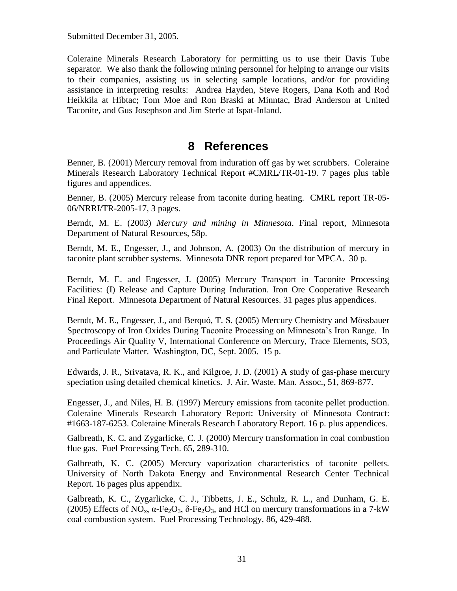Coleraine Minerals Research Laboratory for permitting us to use their Davis Tube separator. We also thank the following mining personnel for helping to arrange our visits to their companies, assisting us in selecting sample locations, and/or for providing assistance in interpreting results: Andrea Hayden, Steve Rogers, Dana Koth and Rod Heikkila at Hibtac; Tom Moe and Ron Braski at Minntac, Brad Anderson at United Taconite, and Gus Josephson and Jim Sterle at Ispat-Inland.

# **8 References**

<span id="page-30-0"></span>Benner, B. (2001) Mercury removal from induration off gas by wet scrubbers. Coleraine Minerals Research Laboratory Technical Report #CMRL/TR-01-19. 7 pages plus table figures and appendices.

Benner, B. (2005) Mercury release from taconite during heating. CMRL report TR-05- 06/NRRI/TR-2005-17, 3 pages.

Berndt, M. E. (2003) *Mercury and mining in Minnesota*. Final report, Minnesota Department of Natural Resources, 58p.

Berndt, M. E., Engesser, J., and Johnson, A. (2003) On the distribution of mercury in taconite plant scrubber systems. Minnesota DNR report prepared for MPCA. 30 p.

Berndt, M. E. and Engesser, J. (2005) Mercury Transport in Taconite Processing Facilities: (I) Release and Capture During Induration. Iron Ore Cooperative Research Final Report. Minnesota Department of Natural Resources. 31 pages plus appendices.

Berndt, M. E., Engesser, J., and Berquó, T. S. (2005) Mercury Chemistry and Mössbauer Spectroscopy of Iron Oxides During Taconite Processing on Minnesota's Iron Range. In Proceedings Air Quality V, International Conference on Mercury, Trace Elements, SO3, and Particulate Matter. Washington, DC, Sept. 2005. 15 p.

Edwards, J. R., Srivatava, R. K., and Kilgroe, J. D. (2001) A study of gas-phase mercury speciation using detailed chemical kinetics. J. Air. Waste. Man. Assoc., 51, 869-877.

Engesser, J., and Niles, H. B. (1997) Mercury emissions from taconite pellet production. Coleraine Minerals Research Laboratory Report: University of Minnesota Contract: #1663-187-6253. Coleraine Minerals Research Laboratory Report. 16 p. plus appendices.

Galbreath, K. C. and Zygarlicke, C. J. (2000) Mercury transformation in coal combustion flue gas. Fuel Processing Tech. 65, 289-310.

Galbreath, K. C. (2005) Mercury vaporization characteristics of taconite pellets. University of North Dakota Energy and Environmental Research Center Technical Report. 16 pages plus appendix.

Galbreath, K. C., Zygarlicke, C. J., Tibbetts, J. E., Schulz, R. L., and Dunham, G. E. (2005) Effects of NO<sub>x</sub>,  $\alpha$ -Fe<sub>2</sub>O<sub>3</sub>,  $\delta$ -Fe<sub>2</sub>O<sub>3</sub>, and HCl on mercury transformations in a 7-kW coal combustion system. Fuel Processing Technology, 86, 429-488.